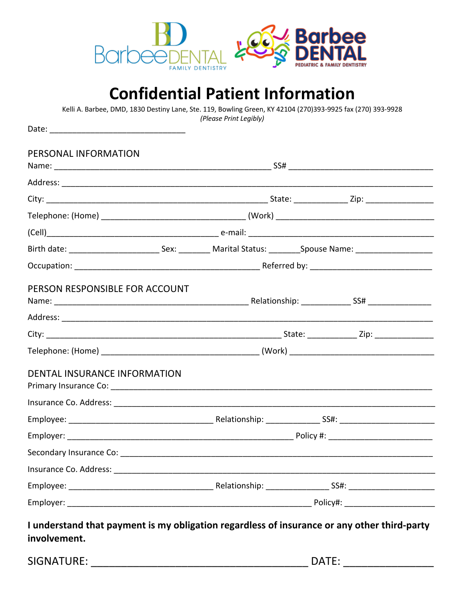

## **Confidential Patient Information**

Kelli A. Barbee, DMD, 1830 Destiny Lane, Ste. 119, Bowling Green, KY 42104 (270)393-9925 fax (270) 393-9928 (Please Print Legibly)

| PERSONAL INFORMATION                                                                                                                   |  |  |  |
|----------------------------------------------------------------------------------------------------------------------------------------|--|--|--|
|                                                                                                                                        |  |  |  |
|                                                                                                                                        |  |  |  |
|                                                                                                                                        |  |  |  |
|                                                                                                                                        |  |  |  |
| Birth date: ___________________________________Sex: ______________Marital Status: __________Spouse Name: _____________________________ |  |  |  |
|                                                                                                                                        |  |  |  |
| PERSON RESPONSIBLE FOR ACCOUNT                                                                                                         |  |  |  |
|                                                                                                                                        |  |  |  |
|                                                                                                                                        |  |  |  |
| <b>DENTAL INSURANCE INFORMATION</b>                                                                                                    |  |  |  |
|                                                                                                                                        |  |  |  |
|                                                                                                                                        |  |  |  |
|                                                                                                                                        |  |  |  |
|                                                                                                                                        |  |  |  |
| Insurance Co. Address:                                                                                                                 |  |  |  |
|                                                                                                                                        |  |  |  |
|                                                                                                                                        |  |  |  |

SIGNATURE: The contract of the contract of the contract of the contract of the contract of the contract of the contract of the contract of the contract of the contract of the contract of the contract of the contract of the